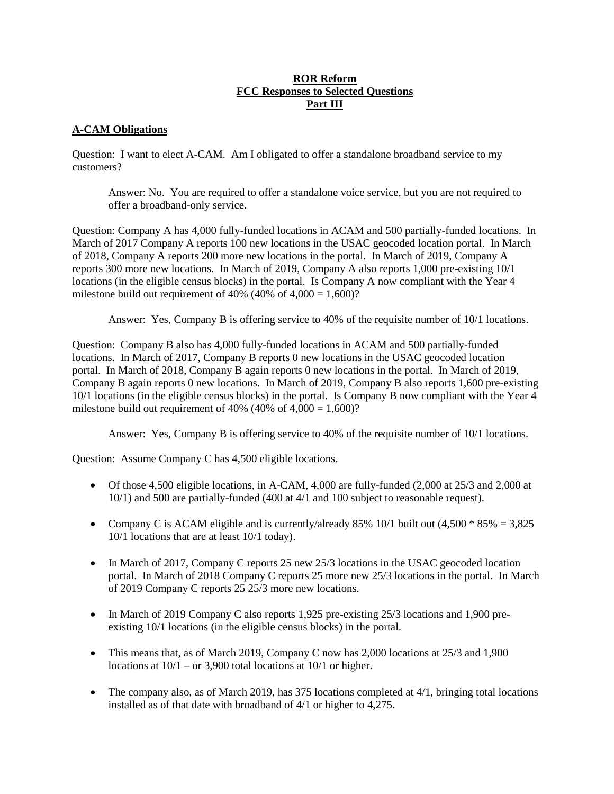## **ROR Reform FCC Responses to Selected Questions Part III**

## **A-CAM Obligations**

Question: I want to elect A-CAM. Am I obligated to offer a standalone broadband service to my customers?

Answer: No. You are required to offer a standalone voice service, but you are not required to offer a broadband-only service.

Question: Company A has 4,000 fully-funded locations in ACAM and 500 partially-funded locations. In March of 2017 Company A reports 100 new locations in the USAC geocoded location portal. In March of 2018, Company A reports 200 more new locations in the portal. In March of 2019, Company A reports 300 more new locations. In March of 2019, Company A also reports 1,000 pre-existing 10/1 locations (in the eligible census blocks) in the portal. Is Company A now compliant with the Year 4 milestone build out requirement of 40% (40% of  $4,000 = 1,600$ )?

Answer: Yes, Company B is offering service to 40% of the requisite number of 10/1 locations.

Question: Company B also has 4,000 fully-funded locations in ACAM and 500 partially-funded locations. In March of 2017, Company B reports 0 new locations in the USAC geocoded location portal. In March of 2018, Company B again reports 0 new locations in the portal. In March of 2019, Company B again reports 0 new locations. In March of 2019, Company B also reports 1,600 pre-existing 10/1 locations (in the eligible census blocks) in the portal. Is Company B now compliant with the Year 4 milestone build out requirement of 40% (40% of  $4,000 = 1,600$ )?

Answer: Yes, Company B is offering service to 40% of the requisite number of 10/1 locations.

Question: Assume Company C has 4,500 eligible locations.

- Of those 4,500 eligible locations, in A-CAM, 4,000 are fully-funded (2,000 at 25/3 and 2,000 at 10/1) and 500 are partially-funded (400 at 4/1 and 100 subject to reasonable request).
- Company C is ACAM eligible and is currently/already 85% 10/1 built out  $(4,500 * 85% = 3,825)$ 10/1 locations that are at least 10/1 today).
- In March of 2017, Company C reports 25 new 25/3 locations in the USAC geocoded location portal. In March of 2018 Company C reports 25 more new 25/3 locations in the portal. In March of 2019 Company C reports 25 25/3 more new locations.
- In March of 2019 Company C also reports 1,925 pre-existing 25/3 locations and 1,900 preexisting 10/1 locations (in the eligible census blocks) in the portal.
- This means that, as of March 2019, Company C now has 2,000 locations at 25/3 and 1,900 locations at  $10/1$  – or 3,900 total locations at  $10/1$  or higher.
- $\bullet$  The company also, as of March 2019, has 375 locations completed at 4/1, bringing total locations installed as of that date with broadband of 4/1 or higher to 4,275.